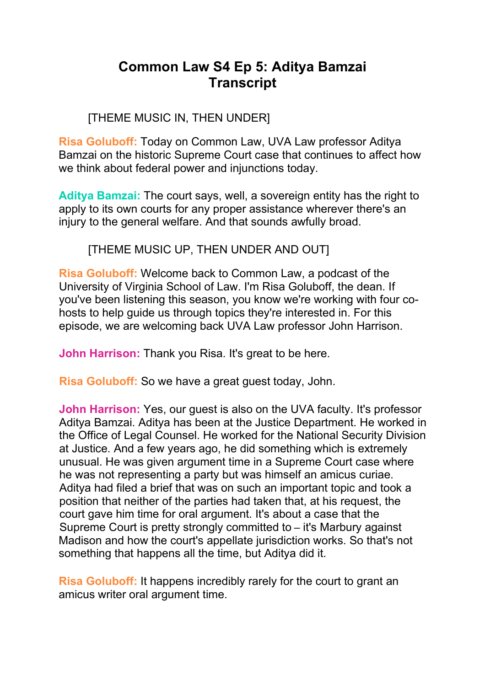# **Common Law S4 Ep 5: Aditya Bamzai Transcript**

# [THEME MUSIC IN, THEN UNDER]

**Risa Goluboff:** Today on Common Law, UVA Law professor Aditya Bamzai on the historic Supreme Court case that continues to affect how we think about federal power and injunctions today.

**Aditya Bamzai:** The court says, well, a sovereign entity has the right to apply to its own courts for any proper assistance wherever there's an injury to the general welfare. And that sounds awfully broad.

### [THEME MUSIC UP, THEN UNDER AND OUT]

**Risa Goluboff:** Welcome back to Common Law, a podcast of the University of Virginia School of Law. I'm Risa Goluboff, the dean. If you've been listening this season, you know we're working with four cohosts to help guide us through topics they're interested in. For this episode, we are welcoming back UVA Law professor John Harrison.

**John Harrison:** Thank you Risa. It's great to be here.

**Risa Goluboff:** So we have a great guest today, John.

**John Harrison:** Yes, our guest is also on the UVA faculty. It's professor Aditya Bamzai. Aditya has been at the Justice Department. He worked in the Office of Legal Counsel. He worked for the National Security Division at Justice. And a few years ago, he did something which is extremely unusual. He was given argument time in a Supreme Court case where he was not representing a party but was himself an amicus curiae. Aditya had filed a brief that was on such an important topic and took a position that neither of the parties had taken that, at his request, the court gave him time for oral argument. It's about a case that the Supreme Court is pretty strongly committed to – it's Marbury against Madison and how the court's appellate jurisdiction works. So that's not something that happens all the time, but Aditya did it.

**Risa Goluboff:** It happens incredibly rarely for the court to grant an amicus writer oral argument time.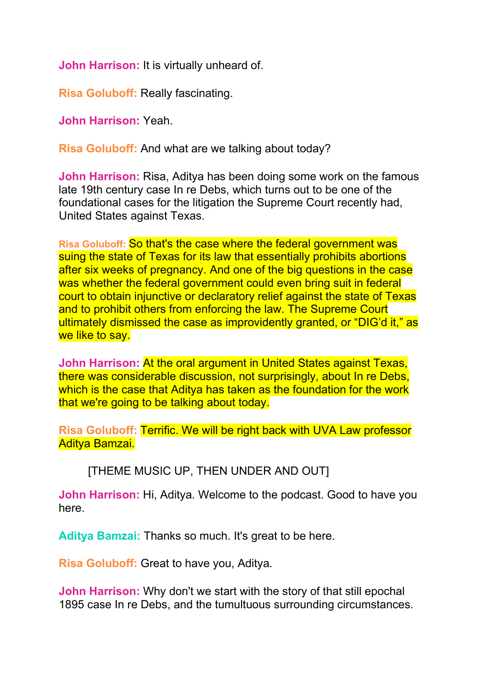**John Harrison:** It is virtually unheard of.

**Risa Goluboff:** Really fascinating.

**John Harrison:** Yeah.

**Risa Goluboff:** And what are we talking about today?

**John Harrison:** Risa, Aditya has been doing some work on the famous late 19th century case In re Debs, which turns out to be one of the foundational cases for the litigation the Supreme Court recently had, United States against Texas.

**Risa Goluboff:** So that's the case where the federal government was suing the state of Texas for its law that essentially prohibits abortions after six weeks of pregnancy. And one of the big questions in the case was whether the federal government could even bring suit in federal court to obtain injunctive or declaratory relief against the state of Texas and to prohibit others from enforcing the law. The Supreme Court ultimately dismissed the case as improvidently granted, or "DIG'd it," as we like to say.

**John Harrison:** At the oral argument in United States against Texas, there was considerable discussion, not surprisingly, about In re Debs, which is the case that Aditya has taken as the foundation for the work that we're going to be talking about today.

**Risa Goluboff:** Terrific. We will be right back with UVA Law professor Aditya Bamzai.

[THEME MUSIC UP, THEN UNDER AND OUT]

**John Harrison:** Hi, Aditya. Welcome to the podcast. Good to have you here.

**Aditya Bamzai:** Thanks so much. It's great to be here.

**Risa Goluboff:** Great to have you, Aditya.

**John Harrison:** Why don't we start with the story of that still epochal 1895 case In re Debs, and the tumultuous surrounding circumstances.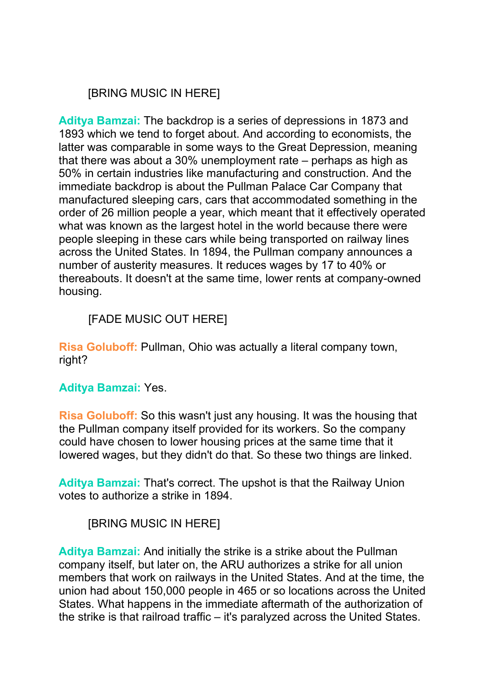# [BRING MUSIC IN HERE]

**Aditya Bamzai:** The backdrop is a series of depressions in 1873 and 1893 which we tend to forget about. And according to economists, the latter was comparable in some ways to the Great Depression, meaning that there was about a 30% unemployment rate – perhaps as high as 50% in certain industries like manufacturing and construction. And the immediate backdrop is about the Pullman Palace Car Company that manufactured sleeping cars, cars that accommodated something in the order of 26 million people a year, which meant that it effectively operated what was known as the largest hotel in the world because there were people sleeping in these cars while being transported on railway lines across the United States. In 1894, the Pullman company announces a number of austerity measures. It reduces wages by 17 to 40% or thereabouts. It doesn't at the same time, lower rents at company-owned housing.

# [FADE MUSIC OUT HERE]

**Risa Goluboff:** Pullman, Ohio was actually a literal company town, right?

#### **Aditya Bamzai:** Yes.

**Risa Goluboff:** So this wasn't just any housing. It was the housing that the Pullman company itself provided for its workers. So the company could have chosen to lower housing prices at the same time that it lowered wages, but they didn't do that. So these two things are linked.

**Aditya Bamzai:** That's correct. The upshot is that the Railway Union votes to authorize a strike in 1894.

# [BRING MUSIC IN HERE]

**Aditya Bamzai:** And initially the strike is a strike about the Pullman company itself, but later on, the ARU authorizes a strike for all union members that work on railways in the United States. And at the time, the union had about 150,000 people in 465 or so locations across the United States. What happens in the immediate aftermath of the authorization of the strike is that railroad traffic – it's paralyzed across the United States.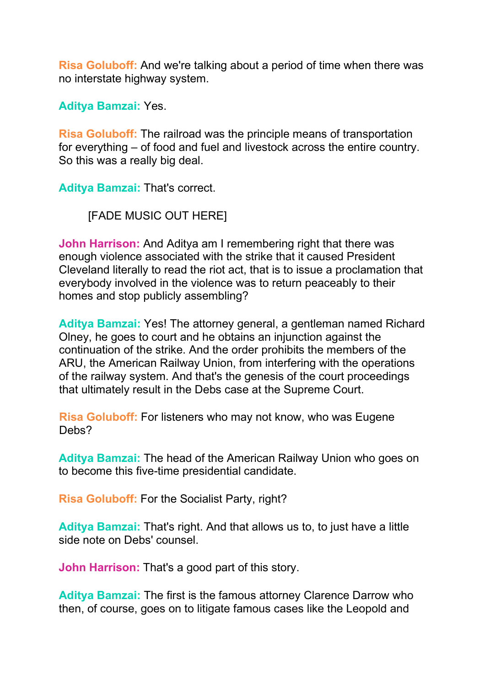**Risa Goluboff:** And we're talking about a period of time when there was no interstate highway system.

**Aditya Bamzai:** Yes.

**Risa Goluboff:** The railroad was the principle means of transportation for everything – of food and fuel and livestock across the entire country. So this was a really big deal.

**Aditya Bamzai:** That's correct.

[FADE MUSIC OUT HERE]

**John Harrison:** And Aditya am I remembering right that there was enough violence associated with the strike that it caused President Cleveland literally to read the riot act, that is to issue a proclamation that everybody involved in the violence was to return peaceably to their homes and stop publicly assembling?

**Aditya Bamzai:** Yes! The attorney general, a gentleman named Richard Olney, he goes to court and he obtains an injunction against the continuation of the strike. And the order prohibits the members of the ARU, the American Railway Union, from interfering with the operations of the railway system. And that's the genesis of the court proceedings that ultimately result in the Debs case at the Supreme Court.

**Risa Goluboff:** For listeners who may not know, who was Eugene Debs?

**Aditya Bamzai:** The head of the American Railway Union who goes on to become this five-time presidential candidate.

**Risa Goluboff:** For the Socialist Party, right?

**Aditya Bamzai:** That's right. And that allows us to, to just have a little side note on Debs' counsel.

**John Harrison:** That's a good part of this story.

**Aditya Bamzai:** The first is the famous attorney Clarence Darrow who then, of course, goes on to litigate famous cases like the Leopold and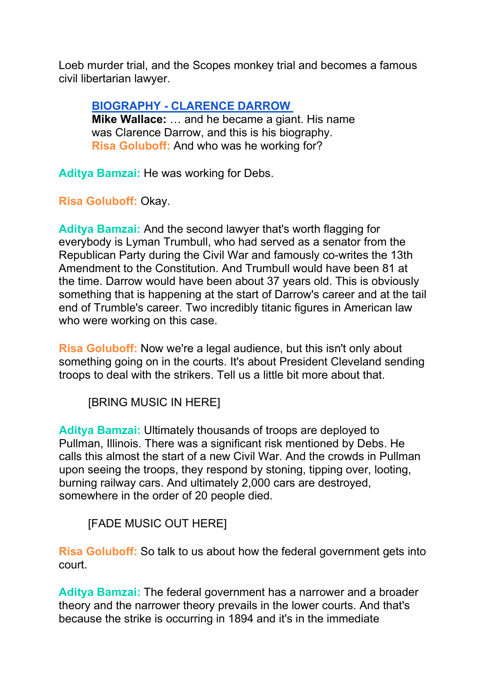Loeb murder trial, and the Scopes monkey trial and becomes a famous civil libertarian lawyer.

#### **[BIOGRAPHY - CLARENCE DARROW](https://www.youtube.com/watch?v=tk1hLjvt0Rg)**

**Mike Wallace:** … and he became a giant. His name was Clarence Darrow, and this is his biography. **Risa Goluboff:** And who was he working for?

**Aditya Bamzai:** He was working for Debs.

**Risa Goluboff:** Okay.

**Aditya Bamzai:** And the second lawyer that's worth flagging for everybody is Lyman Trumbull, who had served as a senator from the Republican Party during the Civil War and famously co-writes the 13th Amendment to the Constitution. And Trumbull would have been 81 at the time. Darrow would have been about 37 years old. This is obviously something that is happening at the start of Darrow's career and at the tail end of Trumble's career. Two incredibly titanic figures in American law who were working on this case.

**Risa Goluboff:** Now we're a legal audience, but this isn't only about something going on in the courts. It's about President Cleveland sending troops to deal with the strikers. Tell us a little bit more about that.

[BRING MUSIC IN HERE]

**Aditya Bamzai:** Ultimately thousands of troops are deployed to Pullman, Illinois. There was a significant risk mentioned by Debs. He calls this almost the start of a new Civil War. And the crowds in Pullman upon seeing the troops, they respond by stoning, tipping over, looting, burning railway cars. And ultimately 2,000 cars are destroyed, somewhere in the order of 20 people died.

[FADE MUSIC OUT HERE]

**Risa Goluboff:** So talk to us about how the federal government gets into court.

**Aditya Bamzai:** The federal government has a narrower and a broader theory and the narrower theory prevails in the lower courts. And that's because the strike is occurring in 1894 and it's in the immediate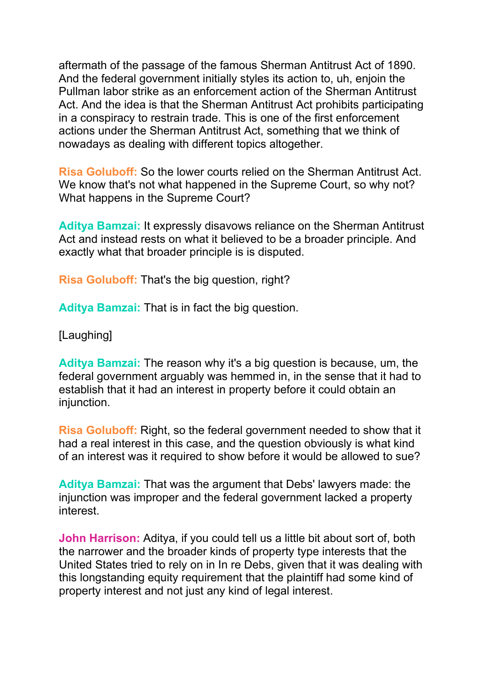aftermath of the passage of the famous Sherman Antitrust Act of 1890. And the federal government initially styles its action to, uh, enjoin the Pullman labor strike as an enforcement action of the Sherman Antitrust Act. And the idea is that the Sherman Antitrust Act prohibits participating in a conspiracy to restrain trade. This is one of the first enforcement actions under the Sherman Antitrust Act, something that we think of nowadays as dealing with different topics altogether.

**Risa Goluboff:** So the lower courts relied on the Sherman Antitrust Act. We know that's not what happened in the Supreme Court, so why not? What happens in the Supreme Court?

**Aditya Bamzai:** It expressly disavows reliance on the Sherman Antitrust Act and instead rests on what it believed to be a broader principle. And exactly what that broader principle is is disputed.

**Risa Goluboff:** That's the big question, right?

**Aditya Bamzai:** That is in fact the big question.

[Laughing]

**Aditya Bamzai:** The reason why it's a big question is because, um, the federal government arguably was hemmed in, in the sense that it had to establish that it had an interest in property before it could obtain an injunction.

**Risa Goluboff:** Right, so the federal government needed to show that it had a real interest in this case, and the question obviously is what kind of an interest was it required to show before it would be allowed to sue?

**Aditya Bamzai:** That was the argument that Debs' lawyers made: the injunction was improper and the federal government lacked a property interest.

**John Harrison:** Aditya, if you could tell us a little bit about sort of, both the narrower and the broader kinds of property type interests that the United States tried to rely on in In re Debs, given that it was dealing with this longstanding equity requirement that the plaintiff had some kind of property interest and not just any kind of legal interest.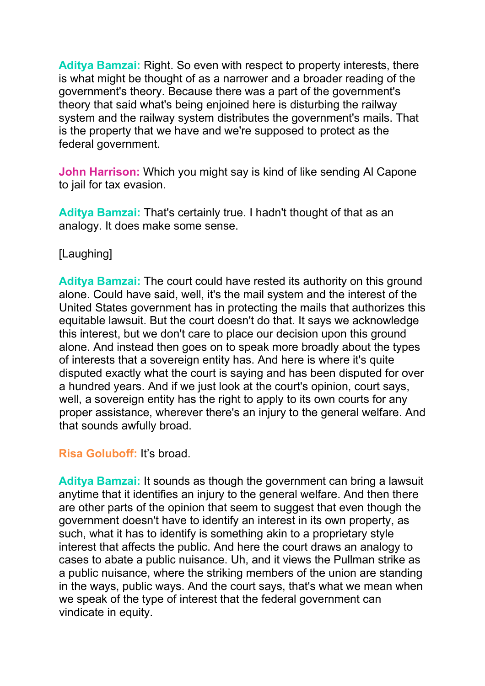**Aditya Bamzai:** Right. So even with respect to property interests, there is what might be thought of as a narrower and a broader reading of the government's theory. Because there was a part of the government's theory that said what's being enjoined here is disturbing the railway system and the railway system distributes the government's mails. That is the property that we have and we're supposed to protect as the federal government.

**John Harrison:** Which you might say is kind of like sending Al Capone to jail for tax evasion.

**Aditya Bamzai:** That's certainly true. I hadn't thought of that as an analogy. It does make some sense.

### [Laughing]

**Aditya Bamzai:** The court could have rested its authority on this ground alone. Could have said, well, it's the mail system and the interest of the United States government has in protecting the mails that authorizes this equitable lawsuit. But the court doesn't do that. It says we acknowledge this interest, but we don't care to place our decision upon this ground alone. And instead then goes on to speak more broadly about the types of interests that a sovereign entity has. And here is where it's quite disputed exactly what the court is saying and has been disputed for over a hundred years. And if we just look at the court's opinion, court says, well, a sovereign entity has the right to apply to its own courts for any proper assistance, wherever there's an injury to the general welfare. And that sounds awfully broad.

#### **Risa Goluboff:** It's broad.

**Aditya Bamzai:** It sounds as though the government can bring a lawsuit anytime that it identifies an injury to the general welfare. And then there are other parts of the opinion that seem to suggest that even though the government doesn't have to identify an interest in its own property, as such, what it has to identify is something akin to a proprietary style interest that affects the public. And here the court draws an analogy to cases to abate a public nuisance. Uh, and it views the Pullman strike as a public nuisance, where the striking members of the union are standing in the ways, public ways. And the court says, that's what we mean when we speak of the type of interest that the federal government can vindicate in equity.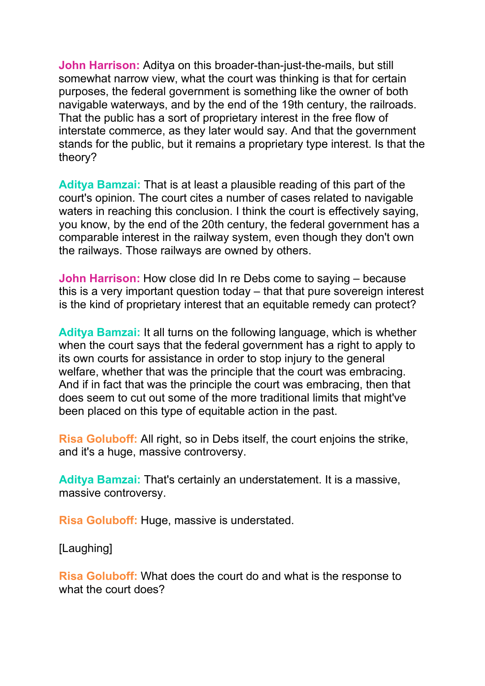**John Harrison:** Aditya on this broader-than-just-the-mails, but still somewhat narrow view, what the court was thinking is that for certain purposes, the federal government is something like the owner of both navigable waterways, and by the end of the 19th century, the railroads. That the public has a sort of proprietary interest in the free flow of interstate commerce, as they later would say. And that the government stands for the public, but it remains a proprietary type interest. Is that the theory?

**Aditya Bamzai:** That is at least a plausible reading of this part of the court's opinion. The court cites a number of cases related to navigable waters in reaching this conclusion. I think the court is effectively saying, you know, by the end of the 20th century, the federal government has a comparable interest in the railway system, even though they don't own the railways. Those railways are owned by others.

**John Harrison:** How close did In re Debs come to saying – because this is a very important question today – that that pure sovereign interest is the kind of proprietary interest that an equitable remedy can protect?

**Aditya Bamzai:** It all turns on the following language, which is whether when the court says that the federal government has a right to apply to its own courts for assistance in order to stop injury to the general welfare, whether that was the principle that the court was embracing. And if in fact that was the principle the court was embracing, then that does seem to cut out some of the more traditional limits that might've been placed on this type of equitable action in the past.

**Risa Goluboff:** All right, so in Debs itself, the court enjoins the strike, and it's a huge, massive controversy.

**Aditya Bamzai:** That's certainly an understatement. It is a massive, massive controversy.

**Risa Goluboff:** Huge, massive is understated.

[Laughing]

**Risa Goluboff:** What does the court do and what is the response to what the court does?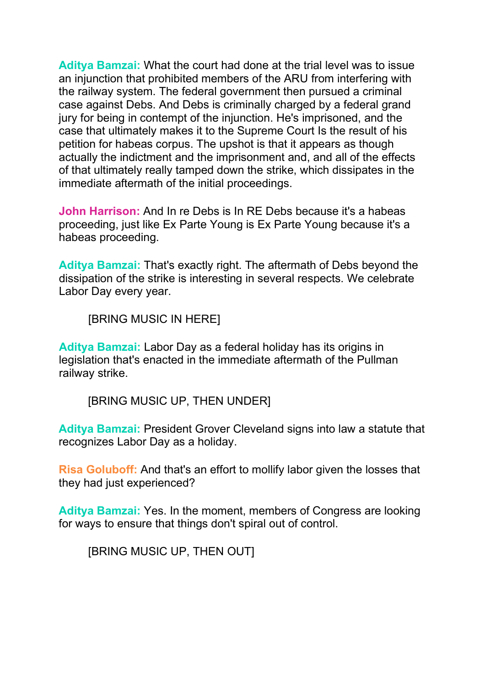**Aditya Bamzai:** What the court had done at the trial level was to issue an injunction that prohibited members of the ARU from interfering with the railway system. The federal government then pursued a criminal case against Debs. And Debs is criminally charged by a federal grand jury for being in contempt of the injunction. He's imprisoned, and the case that ultimately makes it to the Supreme Court Is the result of his petition for habeas corpus. The upshot is that it appears as though actually the indictment and the imprisonment and, and all of the effects of that ultimately really tamped down the strike, which dissipates in the immediate aftermath of the initial proceedings.

**John Harrison:** And In re Debs is In RE Debs because it's a habeas proceeding, just like Ex Parte Young is Ex Parte Young because it's a habeas proceeding.

**Aditya Bamzai:** That's exactly right. The aftermath of Debs beyond the dissipation of the strike is interesting in several respects. We celebrate Labor Day every year.

[BRING MUSIC IN HERE]

**Aditya Bamzai:** Labor Day as a federal holiday has its origins in legislation that's enacted in the immediate aftermath of the Pullman railway strike.

[BRING MUSIC UP, THEN UNDER]

**Aditya Bamzai:** President Grover Cleveland signs into law a statute that recognizes Labor Day as a holiday.

**Risa Goluboff:** And that's an effort to mollify labor given the losses that they had just experienced?

**Aditya Bamzai:** Yes. In the moment, members of Congress are looking for ways to ensure that things don't spiral out of control.

[BRING MUSIC UP, THEN OUT]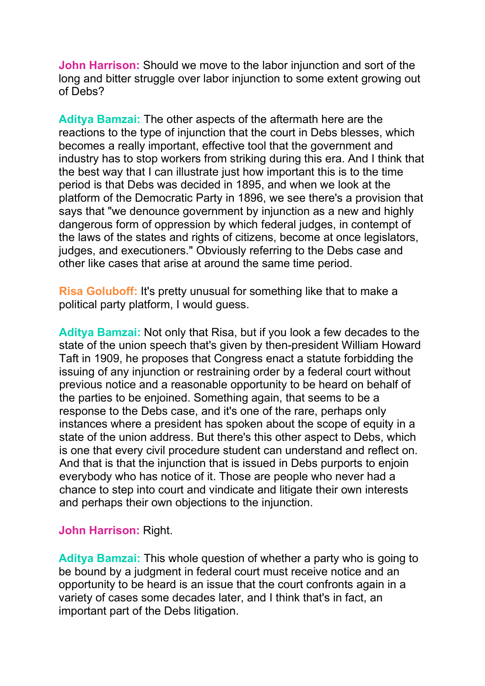**John Harrison:** Should we move to the labor injunction and sort of the long and bitter struggle over labor injunction to some extent growing out of Debs?

**Aditya Bamzai:** The other aspects of the aftermath here are the reactions to the type of injunction that the court in Debs blesses, which becomes a really important, effective tool that the government and industry has to stop workers from striking during this era. And I think that the best way that I can illustrate just how important this is to the time period is that Debs was decided in 1895, and when we look at the platform of the Democratic Party in 1896, we see there's a provision that says that "we denounce government by injunction as a new and highly dangerous form of oppression by which federal judges, in contempt of the laws of the states and rights of citizens, become at once legislators, judges, and executioners." Obviously referring to the Debs case and other like cases that arise at around the same time period.

**Risa Goluboff:** It's pretty unusual for something like that to make a political party platform, I would guess.

**Aditya Bamzai:** Not only that Risa, but if you look a few decades to the state of the union speech that's given by then-president William Howard Taft in 1909, he proposes that Congress enact a statute forbidding the issuing of any injunction or restraining order by a federal court without previous notice and a reasonable opportunity to be heard on behalf of the parties to be enjoined. Something again, that seems to be a response to the Debs case, and it's one of the rare, perhaps only instances where a president has spoken about the scope of equity in a state of the union address. But there's this other aspect to Debs, which is one that every civil procedure student can understand and reflect on. And that is that the injunction that is issued in Debs purports to enjoin everybody who has notice of it. Those are people who never had a chance to step into court and vindicate and litigate their own interests and perhaps their own objections to the injunction.

#### **John Harrison:** Right.

**Aditya Bamzai:** This whole question of whether a party who is going to be bound by a judgment in federal court must receive notice and an opportunity to be heard is an issue that the court confronts again in a variety of cases some decades later, and I think that's in fact, an important part of the Debs litigation.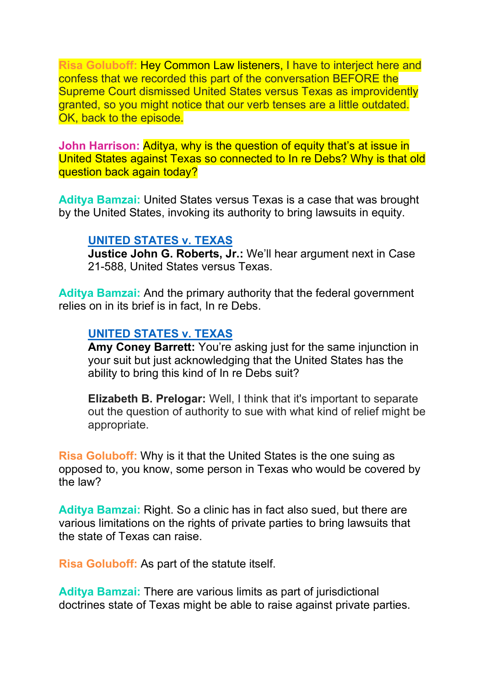**Risa Goluboff:** Hey Common Law listeners, I have to interject here and confess that we recorded this part of the conversation BEFORE the Supreme Court dismissed United States versus Texas as improvidently granted, so you might notice that our verb tenses are a little outdated. OK, back to the episode.

**John Harrison:** Aditya, why is the question of equity that's at issue in United States against Texas so connected to In re Debs? Why is that old question back again today?

**Aditya Bamzai:** United States versus Texas is a case that was brought by the United States, invoking its authority to bring lawsuits in equity.

#### **UNITED STATES [v. TEXAS](https://www.oyez.org/cases/2021/21-588)**

**Justice John G. Roberts, Jr.:** We'll hear argument next in Case 21-588, United States versus Texas.

**Aditya Bamzai:** And the primary authority that the federal government relies on in its brief is in fact, In re Debs.

#### **UNITED STATES [v. TEXAS](https://www.oyez.org/cases/2021/21-588)**

**Amy Coney Barrett:** You're asking just for the same injunction in your suit but just acknowledging that the United States has the ability to bring this kind of In re Debs suit?

**Elizabeth B. Prelogar:** Well, I think that it's important to separate out the question of authority to sue with what kind of relief might be appropriate.

**Risa Goluboff:** Why is it that the United States is the one suing as opposed to, you know, some person in Texas who would be covered by the law?

**Aditya Bamzai:** Right. So a clinic has in fact also sued, but there are various limitations on the rights of private parties to bring lawsuits that the state of Texas can raise.

**Risa Goluboff:** As part of the statute itself.

**Aditya Bamzai:** There are various limits as part of jurisdictional doctrines state of Texas might be able to raise against private parties.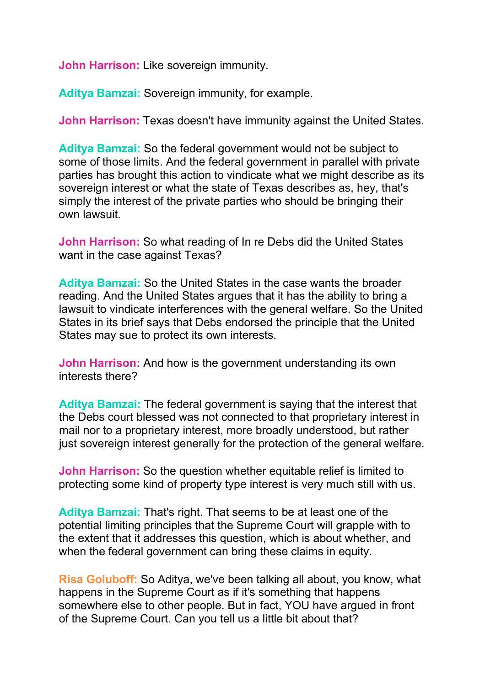**John Harrison:** Like sovereign immunity.

**Aditya Bamzai:** Sovereign immunity, for example.

**John Harrison:** Texas doesn't have immunity against the United States.

**Aditya Bamzai:** So the federal government would not be subject to some of those limits. And the federal government in parallel with private parties has brought this action to vindicate what we might describe as its sovereign interest or what the state of Texas describes as, hey, that's simply the interest of the private parties who should be bringing their own lawsuit.

**John Harrison:** So what reading of In re Debs did the United States want in the case against Texas?

**Aditya Bamzai:** So the United States in the case wants the broader reading. And the United States argues that it has the ability to bring a lawsuit to vindicate interferences with the general welfare. So the United States in its brief says that Debs endorsed the principle that the United States may sue to protect its own interests.

**John Harrison:** And how is the government understanding its own interests there?

**Aditya Bamzai:** The federal government is saying that the interest that the Debs court blessed was not connected to that proprietary interest in mail nor to a proprietary interest, more broadly understood, but rather just sovereign interest generally for the protection of the general welfare.

**John Harrison:** So the question whether equitable relief is limited to protecting some kind of property type interest is very much still with us.

**Aditya Bamzai:** That's right. That seems to be at least one of the potential limiting principles that the Supreme Court will grapple with to the extent that it addresses this question, which is about whether, and when the federal government can bring these claims in equity.

**Risa Goluboff:** So Aditya, we've been talking all about, you know, what happens in the Supreme Court as if it's something that happens somewhere else to other people. But in fact, YOU have argued in front of the Supreme Court. Can you tell us a little bit about that?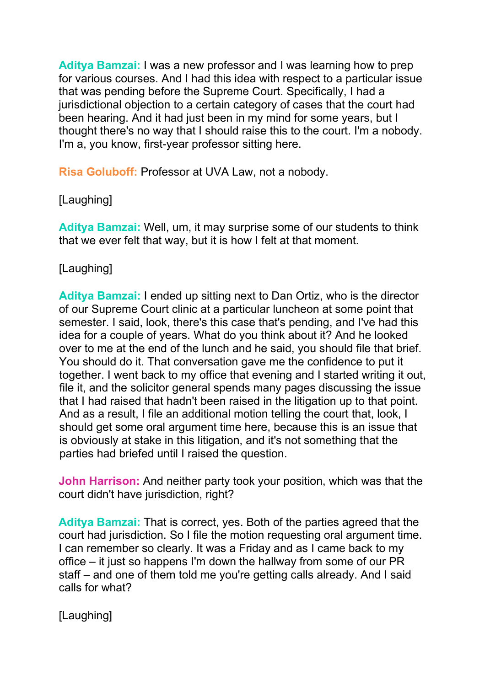**Aditya Bamzai:** I was a new professor and I was learning how to prep for various courses. And I had this idea with respect to a particular issue that was pending before the Supreme Court. Specifically, I had a jurisdictional objection to a certain category of cases that the court had been hearing. And it had just been in my mind for some years, but I thought there's no way that I should raise this to the court. I'm a nobody. I'm a, you know, first-year professor sitting here.

**Risa Goluboff:** Professor at UVA Law, not a nobody.

# [Laughing]

**Aditya Bamzai:** Well, um, it may surprise some of our students to think that we ever felt that way, but it is how I felt at that moment.

### [Laughing]

**Aditya Bamzai:** I ended up sitting next to Dan Ortiz, who is the director of our Supreme Court clinic at a particular luncheon at some point that semester. I said, look, there's this case that's pending, and I've had this idea for a couple of years. What do you think about it? And he looked over to me at the end of the lunch and he said, you should file that brief. You should do it. That conversation gave me the confidence to put it together. I went back to my office that evening and I started writing it out, file it, and the solicitor general spends many pages discussing the issue that I had raised that hadn't been raised in the litigation up to that point. And as a result, I file an additional motion telling the court that, look, I should get some oral argument time here, because this is an issue that is obviously at stake in this litigation, and it's not something that the parties had briefed until I raised the question.

**John Harrison:** And neither party took your position, which was that the court didn't have jurisdiction, right?

**Aditya Bamzai:** That is correct, yes. Both of the parties agreed that the court had jurisdiction. So I file the motion requesting oral argument time. I can remember so clearly. It was a Friday and as I came back to my office – it just so happens I'm down the hallway from some of our PR staff – and one of them told me you're getting calls already. And I said calls for what?

[Laughing]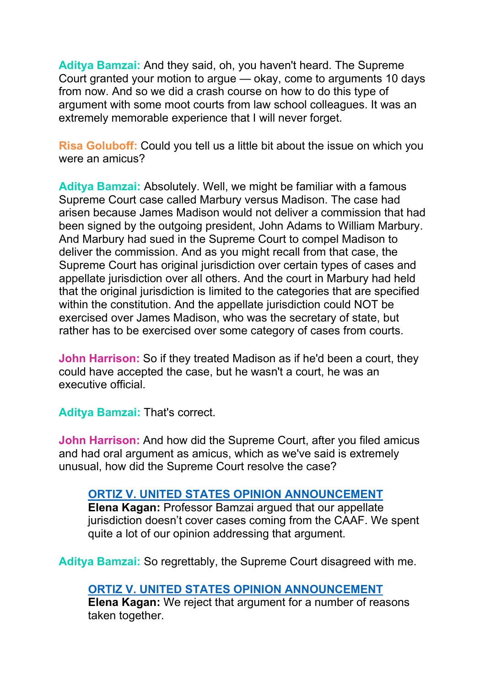**Aditya Bamzai:** And they said, oh, you haven't heard. The Supreme Court granted your motion to argue — okay, come to arguments 10 days from now. And so we did a crash course on how to do this type of argument with some moot courts from law school colleagues. It was an extremely memorable experience that I will never forget.

**Risa Goluboff:** Could you tell us a little bit about the issue on which you were an amicus?

**Aditya Bamzai:** Absolutely. Well, we might be familiar with a famous Supreme Court case called Marbury versus Madison. The case had arisen because James Madison would not deliver a commission that had been signed by the outgoing president, John Adams to William Marbury. And Marbury had sued in the Supreme Court to compel Madison to deliver the commission. And as you might recall from that case, the Supreme Court has original jurisdiction over certain types of cases and appellate jurisdiction over all others. And the court in Marbury had held that the original jurisdiction is limited to the categories that are specified within the constitution. And the appellate jurisdiction could NOT be exercised over James Madison, who was the secretary of state, but rather has to be exercised over some category of cases from courts.

**John Harrison:** So if they treated Madison as if he'd been a court, they could have accepted the case, but he wasn't a court, he was an executive official.

**Aditya Bamzai:** That's correct.

**John Harrison:** And how did the Supreme Court, after you filed amicus and had oral argument as amicus, which as we've said is extremely unusual, how did the Supreme Court resolve the case?

#### **ORTIZ V. UNITED STATES OPINION [ANNOUNCEMENT](https://www.oyez.org/cases/2017/16-1423)**

**Elena Kagan:** Professor Bamzai argued that our appellate jurisdiction doesn't cover cases coming from the CAAF. We spent quite a lot of our opinion addressing that argument.

**Aditya Bamzai:** So regrettably, the Supreme Court disagreed with me.

#### **ORTIZ V. UNITED STATES OPINION [ANNOUNCEMENT](https://www.oyez.org/cases/2017/16-1423)**

**Elena Kagan:** We reject that argument for a number of reasons taken together.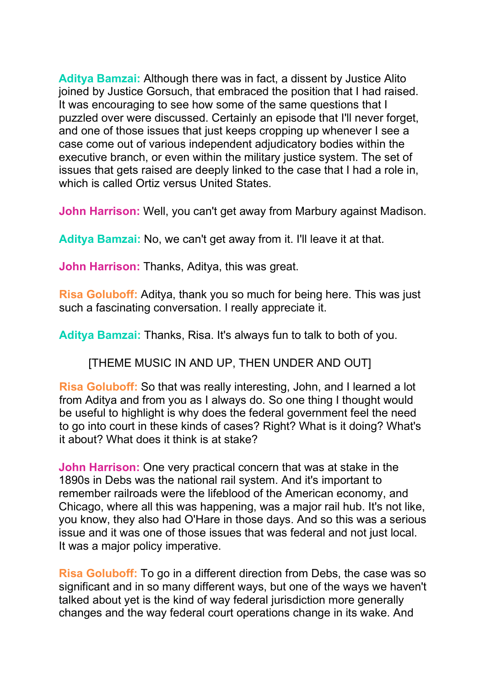**Aditya Bamzai:** Although there was in fact, a dissent by Justice Alito joined by Justice Gorsuch, that embraced the position that I had raised. It was encouraging to see how some of the same questions that I puzzled over were discussed. Certainly an episode that I'll never forget, and one of those issues that just keeps cropping up whenever I see a case come out of various independent adjudicatory bodies within the executive branch, or even within the military justice system. The set of issues that gets raised are deeply linked to the case that I had a role in, which is called Ortiz versus United States.

**John Harrison:** Well, you can't get away from Marbury against Madison.

**Aditya Bamzai:** No, we can't get away from it. I'll leave it at that.

**John Harrison:** Thanks, Aditya, this was great.

**Risa Goluboff:** Aditya, thank you so much for being here. This was just such a fascinating conversation. I really appreciate it.

**Aditya Bamzai:** Thanks, Risa. It's always fun to talk to both of you.

[THEME MUSIC IN AND UP, THEN UNDER AND OUT]

**Risa Goluboff:** So that was really interesting, John, and I learned a lot from Aditya and from you as I always do. So one thing I thought would be useful to highlight is why does the federal government feel the need to go into court in these kinds of cases? Right? What is it doing? What's it about? What does it think is at stake?

**John Harrison:** One very practical concern that was at stake in the 1890s in Debs was the national rail system. And it's important to remember railroads were the lifeblood of the American economy, and Chicago, where all this was happening, was a major rail hub. It's not like, you know, they also had O'Hare in those days. And so this was a serious issue and it was one of those issues that was federal and not just local. It was a major policy imperative.

**Risa Goluboff:** To go in a different direction from Debs, the case was so significant and in so many different ways, but one of the ways we haven't talked about yet is the kind of way federal jurisdiction more generally changes and the way federal court operations change in its wake. And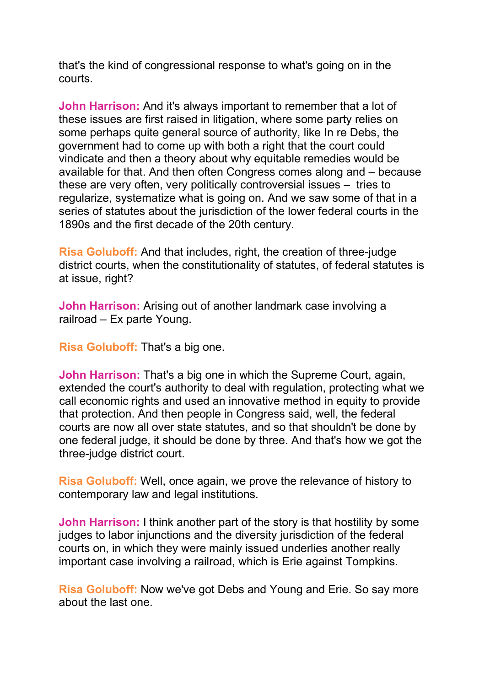that's the kind of congressional response to what's going on in the courts.

**John Harrison:** And it's always important to remember that a lot of these issues are first raised in litigation, where some party relies on some perhaps quite general source of authority, like In re Debs, the government had to come up with both a right that the court could vindicate and then a theory about why equitable remedies would be available for that. And then often Congress comes along and – because these are very often, very politically controversial issues – tries to regularize, systematize what is going on. And we saw some of that in a series of statutes about the jurisdiction of the lower federal courts in the 1890s and the first decade of the 20th century.

**Risa Goluboff:** And that includes, right, the creation of three-judge district courts, when the constitutionality of statutes, of federal statutes is at issue, right?

**John Harrison:** Arising out of another landmark case involving a railroad – Ex parte Young.

**Risa Goluboff:** That's a big one.

**John Harrison:** That's a big one in which the Supreme Court, again, extended the court's authority to deal with regulation, protecting what we call economic rights and used an innovative method in equity to provide that protection. And then people in Congress said, well, the federal courts are now all over state statutes, and so that shouldn't be done by one federal judge, it should be done by three. And that's how we got the three-judge district court.

**Risa Goluboff:** Well, once again, we prove the relevance of history to contemporary law and legal institutions.

**John Harrison:** I think another part of the story is that hostility by some judges to labor injunctions and the diversity jurisdiction of the federal courts on, in which they were mainly issued underlies another really important case involving a railroad, which is Erie against Tompkins.

**Risa Goluboff:** Now we've got Debs and Young and Erie. So say more about the last one.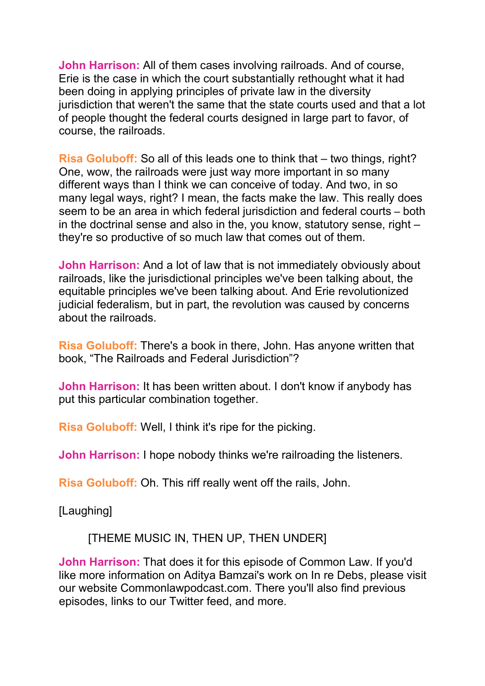**John Harrison:** All of them cases involving railroads. And of course, Erie is the case in which the court substantially rethought what it had been doing in applying principles of private law in the diversity jurisdiction that weren't the same that the state courts used and that a lot of people thought the federal courts designed in large part to favor, of course, the railroads.

**Risa Goluboff:** So all of this leads one to think that – two things, right? One, wow, the railroads were just way more important in so many different ways than I think we can conceive of today. And two, in so many legal ways, right? I mean, the facts make the law. This really does seem to be an area in which federal jurisdiction and federal courts – both in the doctrinal sense and also in the, you know, statutory sense, right – they're so productive of so much law that comes out of them.

**John Harrison:** And a lot of law that is not immediately obviously about railroads, like the jurisdictional principles we've been talking about, the equitable principles we've been talking about. And Erie revolutionized judicial federalism, but in part, the revolution was caused by concerns about the railroads.

**Risa Goluboff:** There's a book in there, John. Has anyone written that book, "The Railroads and Federal Jurisdiction"?

**John Harrison:** It has been written about. I don't know if anybody has put this particular combination together.

**Risa Goluboff:** Well, I think it's ripe for the picking.

**John Harrison:** I hope nobody thinks we're railroading the listeners.

**Risa Goluboff:** Oh. This riff really went off the rails, John.

[Laughing]

[THEME MUSIC IN, THEN UP, THEN UNDER]

**John Harrison:** That does it for this episode of Common Law. If you'd like more information on Aditya Bamzai's work on In re Debs, please visit our website Commonlawpodcast.com. There you'll also find previous episodes, links to our Twitter feed, and more.